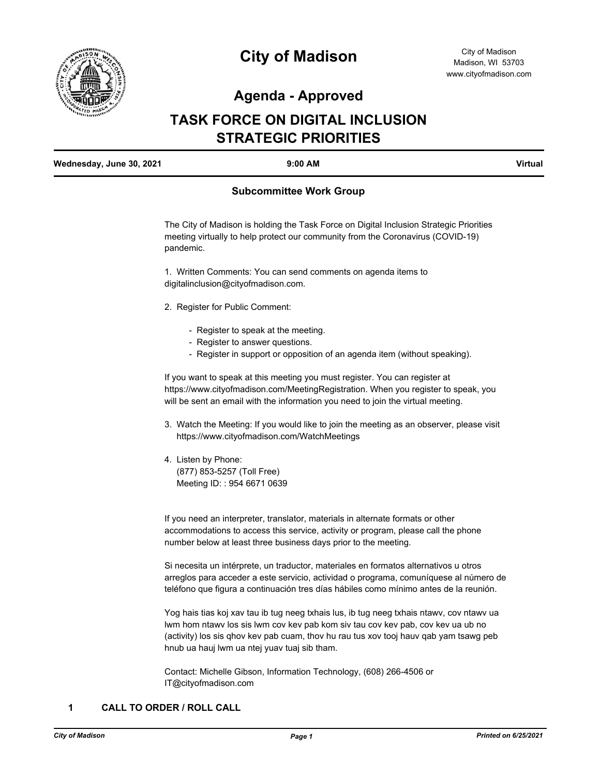

# **City of Madison**

## **Agenda - Approved**

## **TASK FORCE ON DIGITAL INCLUSION STRATEGIC PRIORITIES**

| Wednesday, June 30, 2021 | $9:00$ AM | Virtual |
|--------------------------|-----------|---------|
|                          |           |         |

## **Subcommittee Work Group**

The City of Madison is holding the Task Force on Digital Inclusion Strategic Priorities meeting virtually to help protect our community from the Coronavirus (COVID-19) pandemic.

1. Written Comments: You can send comments on agenda items to digitalinclusion@cityofmadison.com.

- 2. Register for Public Comment:
	- Register to speak at the meeting.
	- Register to answer questions.
	- Register in support or opposition of an agenda item (without speaking).

If you want to speak at this meeting you must register. You can register at https://www.cityofmadison.com/MeetingRegistration. When you register to speak, you will be sent an email with the information you need to join the virtual meeting.

- 3. Watch the Meeting: If you would like to join the meeting as an observer, please visit https://www.cityofmadison.com/WatchMeetings
- 4. Listen by Phone: (877) 853-5257 (Toll Free) Meeting ID: : 954 6671 0639

If you need an interpreter, translator, materials in alternate formats or other accommodations to access this service, activity or program, please call the phone number below at least three business days prior to the meeting.

Si necesita un intérprete, un traductor, materiales en formatos alternativos u otros arreglos para acceder a este servicio, actividad o programa, comuníquese al número de teléfono que figura a continuación tres días hábiles como mínimo antes de la reunión.

Yog hais tias koj xav tau ib tug neeg txhais lus, ib tug neeg txhais ntawv, cov ntawv ua lwm hom ntawv los sis lwm cov kev pab kom siv tau cov kev pab, cov kev ua ub no (activity) los sis qhov kev pab cuam, thov hu rau tus xov tooj hauv qab yam tsawg peb hnub ua hauj lwm ua ntej yuav tuaj sib tham.

Contact: Michelle Gibson, Information Technology, (608) 266-4506 or IT@cityofmadison.com

## **1 CALL TO ORDER / ROLL CALL**